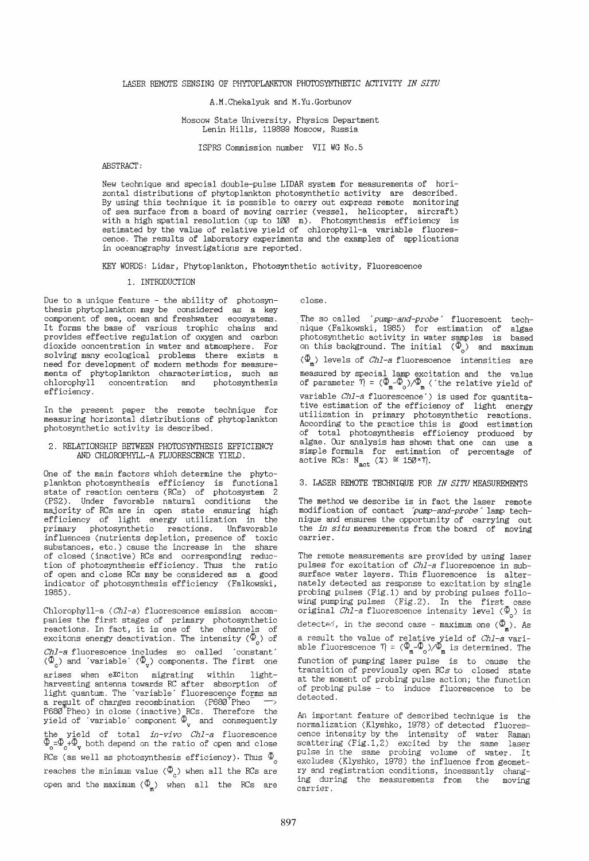A.M.Chekalyuk and M.Yu.Gorbunov

Moscow State University, Physics Department Lenin Hills, 119899 Moscow, Russia

ISPRS Commission number VII WG No.5

#### ABSTRACT:

New technique and special double-pulse LIDAR system for measurements of horizontal distributions of phytoplankton photosynthetic activity are described. By using this technique it is possible to carry out express remote monitoring of sea surface from a board of moving carrier (vessel, helicopter, aircraft) with a high spatial resolution (up to 100 m). Photosynthesis efficiency is estimated by the value of relative yield of chlorophyll-a variable fluores- cence. The results of laboratory experiments and the examples of applications in oceanography investigations are reported.

KEY WORDS: Lidar, Phytoplankton, Photosynthetic activity, Fluorescence

#### 1. INTRODUCTION

Due to a unique feature - the ability of photosynthesis phytoplankton may be considered as a key component of sea, ocean and freshwater ecosystems. It forms the base of various trophic chains and provides effective regulation of oxygen and carbon dioxide concentration in water and atmosphere. For solving many ecological problems there exists a need for development of modern methods for measure-<br>ments of phytoplankton characteristics, such as chlorophyll concentration and photosynthesis efficiency.

In the present paper the remote technique for measuring horizontal distributions of phytoplankton photosynthetic activity is described.

## 2. RELATIONSHIP BETWEEN PHOTOSYNTHESIS EFFICIENCY AND CHLOROPHYLL-A FLUORESCENCE YIELD.

One of the main factors which determine the phytoplankton photosynthesis efficiency is functional state of reaction centers (RCs) of photosystem 2 (PS2). Under favorable natural conditions the majority of RCs are in open state ensuring high efficiency of light energy utilization in the primary photosynthetic reactions. Unfavorable influences (nutrients depletion, presence of toxic substances, etc.) cause the increase in the share of closed (inactive) RCs and corresponding reduction of photosynthesis efficiency. Thus the ratio of open and close RCs may be considered as a good indicator of photosynthesis efficiency (Falkowski, 1985) .

Chlorophyll-a *(Chl-a)* fluorescence emission accom-<br>panies the first stages of primary photosynthetic reactions. In fact, it is one of the channels of excitons energy deactivation. The intensity  $\langle \Phi_{\sf o} \rangle$  of *Chl-a* fluorescence includes so called 'constant'<br>( $\Phi_{\alpha}$ ) and 'variable' ( $\Phi_{\alpha}$ ) components. The first one arises when eXCiton migrating within lightharvesting antenna towards RC after absorption of light quantum. The 'variable' fluorescence forms as a regult of charges recombination (P680 Pheo P680 Pheo) in close (inactive) RCs. Therefore the yield of 'variable' component  $\Phi_{\mu}$  and consequently the yield of total *in-vivo Chl-a* fluorescence  $\Phi_{\rm g}= \Phi_{\rm g} + \Phi_{\rm w}$  both depend on the ratio of open and close RCs (as well as photosynthesis efficiency). Thus  $\Phi_{\rho}$ reaches the minimum value  $(\Phi_c)$  when all the RCs are open and the maximum  $\langle \Phi_m \rangle$  when all the RCs are

close.

The so called 'pump-and-probe' fluorescent technique (Falkowski, 1985) for estimation of algae<br>photosynthetic activity in water samples is based on this background. The initial  $(\Phi_{\alpha})$  and maximum  $(\Phi_{\mathtt{m}})$  levels of *Chl-a* fluorescence intensities are measured by special lamp excitation and the value<br>of parameter  $\eta = (\Phi_{m} - \Phi_{0})/\Phi_{m}$  ('the relative yield of variable *Chl-a* fluorescence') is used for quantitative estimation of the efficiency of light energy utilization in primary photosynthetic reactions. According to the practice this is good estimation of total photosynthesis efficiency produced by algae. Our analysis has shown that one can use a simple formula for estimation of percentage of active RCs:  $N_{\text{act}}$  (%)  $\cong$  150× $\eta$ .

## 3. LASER REMOTE TECHNIQUE FOR *IN SITU* MEASUREMENTS

The method we describe is in fact the laser remote modification of contact *'pump-and-probe'* lamp technique and ensures the opportunity of carrying out the *in situ* measurements from the board of moving carrier.

The remote measurements are provided by using laser pulses for excitation of *Chl-a* fluorescence in subsurface water layers. This fluorescence is alternately detected as response to excitation by single probing pulses (Fig.l) and by probing pulses following pumping pulses (Fig.2). In the first case original *Chl-a* fluorescence intensity level ( $\Phi$ <sub>o</sub>) is detected, in the second case – maximum one  $(\Phi_{\mathtt{m}})$ . As a result the value of relative yield of *Ch1-a* vari-<br>able fluorescence  $\eta = (\Phi_{\text{m}}^-\Phi_o)/\Phi_{\text{m}}^o$  is determined. The function of pumping laser pulse is to cause the transition of previously open RCs to closed state at the moment of probing pulse action; the function of probing pulse - to induce fluorescence to be detected.

An important feature of described technique is the normalization (Klyshko, 1978) of detected fluores- cence intensity by the intensity of water Raman scattering (Fig.1,2) excited by the same laser<br>pulse in the same probing volume of water. It exeludes (Klyshko, 1978) the influence from geometry and registration conditions, incessantly changing during the measurements from the moving carrier.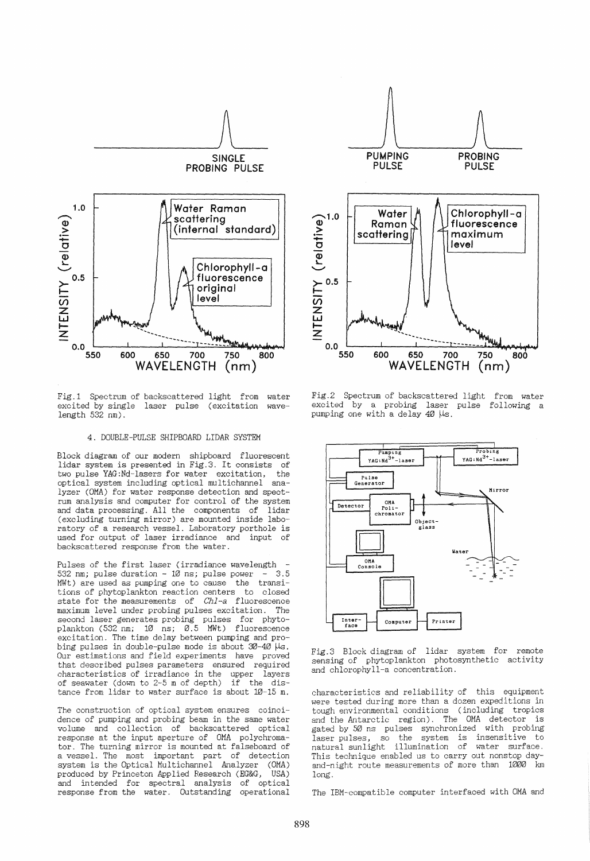

Fig.1 Spectrum of backscattered light from water excited by single laser pulse (excitation  $length 532 nm$ . wave-

# 4. DOUBLE-PULSE SHIPBOARD LIDAR SYSTEM

Block diagram of our modern shipboard fluorescent lidar system is presented in Fig.3. It consists of two pulse YAG:Nd-lasers for water excitation,<br>optical system including optical multichannel optical system including optical multichannel ana- lyzer (OMA) for water response detection and spect- rum analysis and computer for control of the system and data processing. All the components of (excluding turning mirror) are mounted inside laboratory of a research vessel. Laboratory porthole is used for output of laser irradiance and input of backscattered response from the water.

Pulses of the first laser (irradiance wavelength  $-532$  nm; pulse duration  $-10$  ns; pulse power  $-3.5$ 532 nm; pulse duration  $-10$  ns; pulse power  $-1$ MWt) are used as pumping one to cause the transitions of phytoplankton reaction centers to closed state for the measurements of *Chl-a* fluorescence maximum level under probing pulses excitation. The second laser generates probing pulses for phytoplankton (532 nm; 10 ns; 0.5 MWt) fluorescence excitation. The time delay between pumping and probing pulses in double-pulse mode is about  $30-40$   $\mu s$ . Our estimations and field experiments have proved that described pulses parameters ensured required characteristics of irradiance in the upper layers<br>of seawater (down to 2-5 m of depth) if the disof seawater (down to  $2-5$  m of depth) tance from lidar to water surface is about 10-15 m.

The construction of optical system ensures coincidence of pumping and probing beam in the same water volume and collection of backscattered optical response at the input aperture of OMA polychromator. The turning mirror is mounted at falseboard of a vessel. The most important part of detection system is the Optical Multichannel Analyzer (OMA) produced by Princeton Applied Research (EG&G, USA) and intended for spectral analysis of optical response from the water. Outstanding operational



Fig.2 Spectrum of backscattered light from water excited by a probing laser pulse following a pumping one with a delay  $40$   $\mu$ s.



Fig.3 Block diagram of lidar system for remote sensing of phytoplankton photosynthetic activity and chlorophyll-a concentration.

characteristics and reliability of this equipment were tested during more than a dozen expeditions in tough environmental conditions (including tropics and the Antarctic region). The OMA detector gated by 50 ns pulses synchronized with probing laser pulses, so the system is insensitive to natural sunlight illumination of water surface. This technique enabled us to carry out nonstop dayand-night route measurements of more than 1000 km long.

The IBN-compatible computer interfaced with OHA and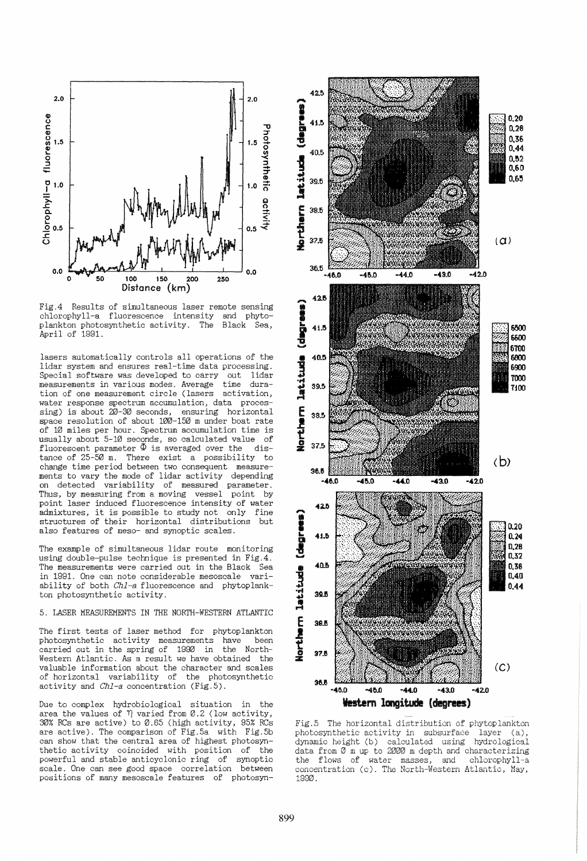

Fig.4 Results of simultaneous laser remote sensing<br>chlorophyll-a fluorescence intensity and phytochlorophyll-a fluorescence intensity and phyto-<br>plankton photosynthetic activity. The Black Sea. plankton photosynthetic activity. The April of 1991.

lasers automatically controls all operations of the lidar system and ensures real-time data processing. Special software was developed to carry out<br>measurements in various modes. Average time measurements in various modes. Average time duration of one measurement circle (lasers water response spectrum accumulation, data processing) is about 20-30 seconds, ensuring horizontal space resolution of about 100-150 m under boat rate of 10 miles per hour. Spectrum accumulation time is<br>usually about 5-10 seconds, so calculated value, of usually about 5-10 seconds, so calculated value of fluorescent parameter  $\Phi$  is averaged over the disfluorescent parameter  $\Phi$  is averaged over the tance of 25-50 m. There exist a possibility to<br>change time period between two consequent measurements to vary the mode of lidar activity depending<br>on detected variability of measured parameter.<br>Thus, by measuring from a moving vessel point by Thus, by measuring from a moving vessel point laser induced fluorescence intensity of water admixtures, it is possible to study not only fine structures of their horizontal distributions but also features of meso- and synoptic scales.

The example of simultaneous lidar route monitoring using double-pulse technique is presented in Fig.4. The measurements were carried out in the Black Sea in 1991. One can note considerable mesoscale variability of both  $Ch1-a$  fluorescence and phytoplankton photosynthetic activity.

# 5. LASER MEASUREMENTS IN THE NORTH-WESTERN ATLANTIC

The first tests of laser method for phytoplankton photosynthetic activity measurements have been photosynthetic activity measurements have been<br>carried out in the spring of 1990 in the Northcarried out in the spring of 1990 in Western Atlantic. As a result we have obtained the valuable information about the character and scales of horizontal variability of the photosynthetic activity and *Chl-a* concentration (Fig.5).

Due to complex hydrobiological situation in the area the values of  $\eta$  varied from 0.2 (low activity, 95% RCs are active) to 0.65 (high activity, 95% RCs are active). The comparison of Fig.5a with Fig.5b can show that the central area of highest photosynthetic activity coincided with position of the powerful and stable anticyclonic ring of synoptic scale. One can see good space correlation between positions of many mesoscale features of photosyn-



Fig.5 The horizontal distribution of phytoplankton photosynthetic activity in subsurface layer (a), dynamic height (b) calculated using hydrological data from  $\overline{\emptyset}$  m up to 2000 m depth and characterizing the flows of water masses, and chlorophyll-a concentration (c). The North-Western Atlantic, May, 1990.